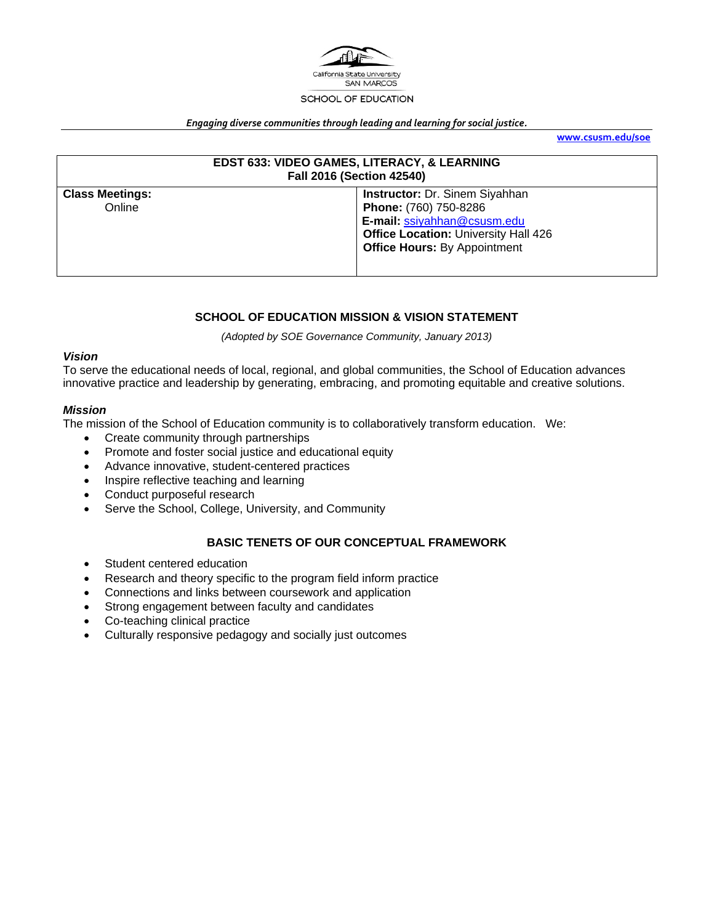

#### *Engaging diverse communities through leading and learning for social justice.*

**www.csusm.edu/soe**

| EDST 633: VIDEO GAMES, LITERACY, & LEARNING<br><b>Fall 2016 (Section 42540)</b> |                                                                                                                                                                                     |  |  |
|---------------------------------------------------------------------------------|-------------------------------------------------------------------------------------------------------------------------------------------------------------------------------------|--|--|
| <b>Class Meetings:</b><br>Online                                                | <b>Instructor: Dr. Sinem Siyahhan</b><br>Phone: (760) 750-8286<br>E-mail: ssiyahhan@csusm.edu<br><b>Office Location: University Hall 426</b><br><b>Office Hours: By Appointment</b> |  |  |

#### **SCHOOL OF EDUCATION MISSION & VISION STATEMENT**

*(Adopted by SOE Governance Community, January 2013)* 

#### *Vision*

To serve the educational needs of local, regional, and global communities, the School of Education advances innovative practice and leadership by generating, embracing, and promoting equitable and creative solutions.

#### *Mission*

The mission of the School of Education community is to collaboratively transform education. We:

- Create community through partnerships
- Promote and foster social justice and educational equity
- Advance innovative, student-centered practices
- Inspire reflective teaching and learning
- Conduct purposeful research
- Serve the School, College, University, and Community

## **BASIC TENETS OF OUR CONCEPTUAL FRAMEWORK**

- Student centered education
- Research and theory specific to the program field inform practice
- Connections and links between coursework and application
- Strong engagement between faculty and candidates
- Co-teaching clinical practice
- Culturally responsive pedagogy and socially just outcomes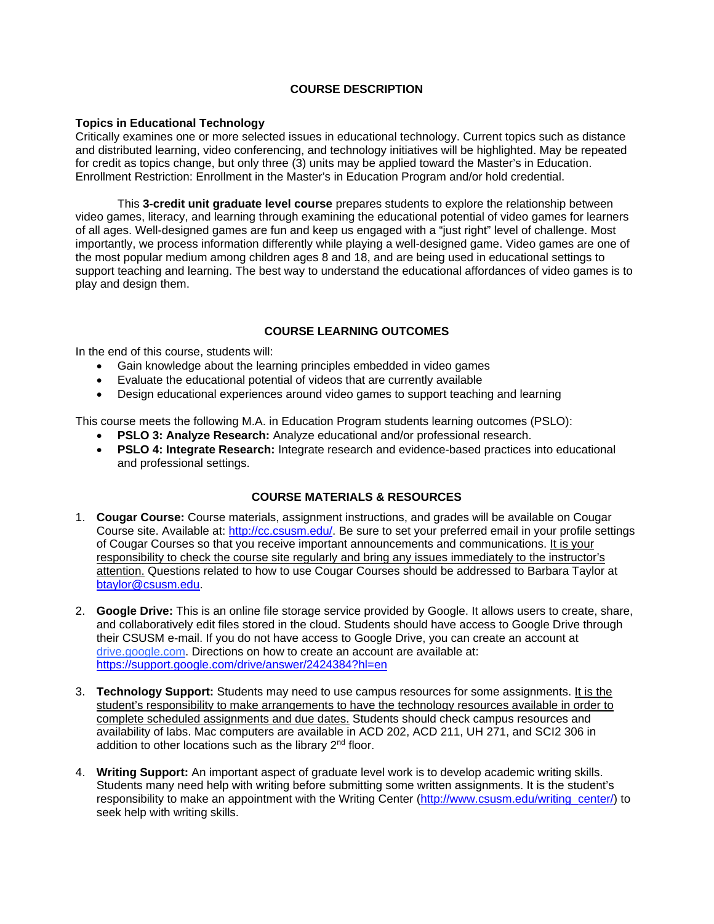## **COURSE DESCRIPTION**

#### **Topics in Educational Technology**

Critically examines one or more selected issues in educational technology. Current topics such as distance and distributed learning, video conferencing, and technology initiatives will be highlighted. May be repeated for credit as topics change, but only three (3) units may be applied toward the Master's in Education. Enrollment Restriction: Enrollment in the Master's in Education Program and/or hold credential.

This **3-credit unit graduate level course** prepares students to explore the relationship between video games, literacy, and learning through examining the educational potential of video games for learners of all ages. Well-designed games are fun and keep us engaged with a "just right" level of challenge. Most importantly, we process information differently while playing a well-designed game. Video games are one of the most popular medium among children ages 8 and 18, and are being used in educational settings to support teaching and learning. The best way to understand the educational affordances of video games is to play and design them.

# **COURSE LEARNING OUTCOMES**

In the end of this course, students will:

- Gain knowledge about the learning principles embedded in video games
- Evaluate the educational potential of videos that are currently available
- Design educational experiences around video games to support teaching and learning

This course meets the following M.A. in Education Program students learning outcomes (PSLO):

- **PSLO 3: Analyze Research:** Analyze educational and/or professional research.
- **PSLO 4: Integrate Research:** Integrate research and evidence-based practices into educational and professional settings.

## **COURSE MATERIALS & RESOURCES**

- 1. **Cougar Course:** Course materials, assignment instructions, and grades will be available on Cougar Course site. Available at: http://cc.csusm.edu/. Be sure to set your preferred email in your profile settings of Cougar Courses so that you receive important announcements and communications. It is your responsibility to check the course site regularly and bring any issues immediately to the instructor's attention. Questions related to how to use Cougar Courses should be addressed to Barbara Taylor at btaylor@csusm.edu.
- 2. **Google Drive:** This is an online file storage service provided by Google. It allows users to create, share, and collaboratively edit files stored in the cloud. Students should have access to Google Drive through their CSUSM e-mail. If you do not have access to Google Drive, you can create an account at drive.google.com. Directions on how to create an account are available at: https://support.google.com/drive/answer/2424384?hl=en
- 3. **Technology Support:** Students may need to use campus resources for some assignments. It is the student's responsibility to make arrangements to have the technology resources available in order to complete scheduled assignments and due dates. Students should check campus resources and availability of labs. Mac computers are available in ACD 202, ACD 211, UH 271, and SCI2 306 in addition to other locations such as the library 2<sup>nd</sup> floor.
- 4. **Writing Support:** An important aspect of graduate level work is to develop academic writing skills. Students many need help with writing before submitting some written assignments. It is the student's responsibility to make an appointment with the Writing Center (http://www.csusm.edu/writing\_center/) to seek help with writing skills.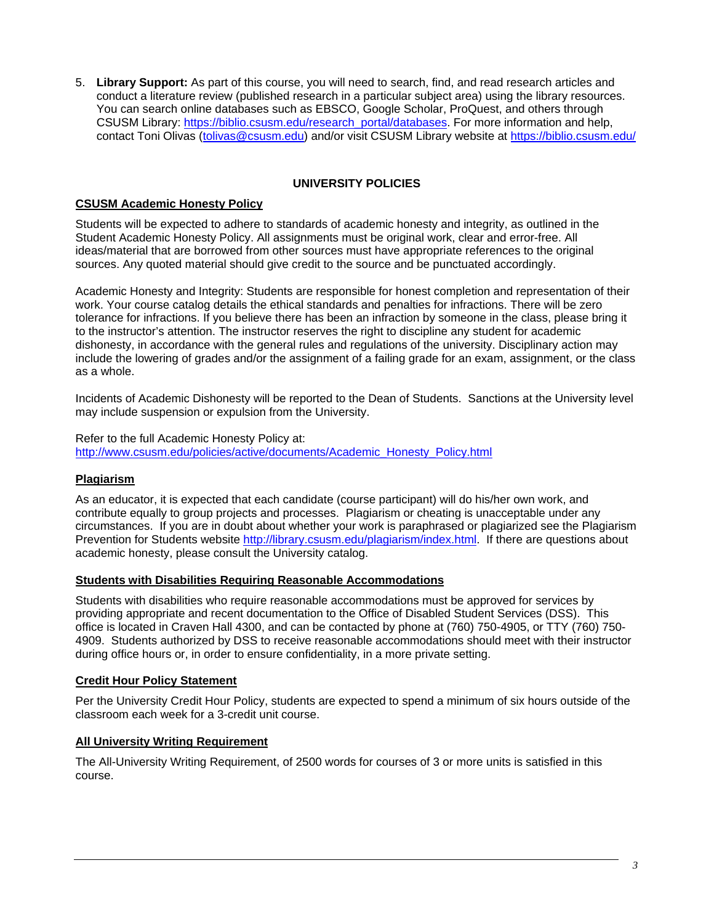5. **Library Support:** As part of this course, you will need to search, find, and read research articles and conduct a literature review (published research in a particular subject area) using the library resources. You can search online databases such as EBSCO, Google Scholar, ProQuest, and others through CSUSM Library: https://biblio.csusm.edu/research\_portal/databases. For more information and help, contact Toni Olivas (tolivas@csusm.edu) and/or visit CSUSM Library website at https://biblio.csusm.edu/

## **UNIVERSITY POLICIES**

## **CSUSM Academic Honesty Policy**

Students will be expected to adhere to standards of academic honesty and integrity, as outlined in the Student Academic Honesty Policy. All assignments must be original work, clear and error-free. All ideas/material that are borrowed from other sources must have appropriate references to the original sources. Any quoted material should give credit to the source and be punctuated accordingly.

Academic Honesty and Integrity: Students are responsible for honest completion and representation of their work. Your course catalog details the ethical standards and penalties for infractions. There will be zero tolerance for infractions. If you believe there has been an infraction by someone in the class, please bring it to the instructor's attention. The instructor reserves the right to discipline any student for academic dishonesty, in accordance with the general rules and regulations of the university. Disciplinary action may include the lowering of grades and/or the assignment of a failing grade for an exam, assignment, or the class as a whole.

Incidents of Academic Dishonesty will be reported to the Dean of Students. Sanctions at the University level may include suspension or expulsion from the University.

Refer to the full Academic Honesty Policy at: http://www.csusm.edu/policies/active/documents/Academic\_Honesty\_Policy.html

## **Plagiarism**

As an educator, it is expected that each candidate (course participant) will do his/her own work, and contribute equally to group projects and processes. Plagiarism or cheating is unacceptable under any circumstances. If you are in doubt about whether your work is paraphrased or plagiarized see the Plagiarism Prevention for Students website http://library.csusm.edu/plagiarism/index.html. If there are questions about academic honesty, please consult the University catalog.

#### **Students with Disabilities Requiring Reasonable Accommodations**

Students with disabilities who require reasonable accommodations must be approved for services by providing appropriate and recent documentation to the Office of Disabled Student Services (DSS). This office is located in Craven Hall 4300, and can be contacted by phone at (760) 750-4905, or TTY (760) 750- 4909. Students authorized by DSS to receive reasonable accommodations should meet with their instructor during office hours or, in order to ensure confidentiality, in a more private setting.

## **Credit Hour Policy Statement**

Per the University Credit Hour Policy, students are expected to spend a minimum of six hours outside of the classroom each week for a 3-credit unit course.

## **All University Writing Requirement**

The All-University Writing Requirement, of 2500 words for courses of 3 or more units is satisfied in this course.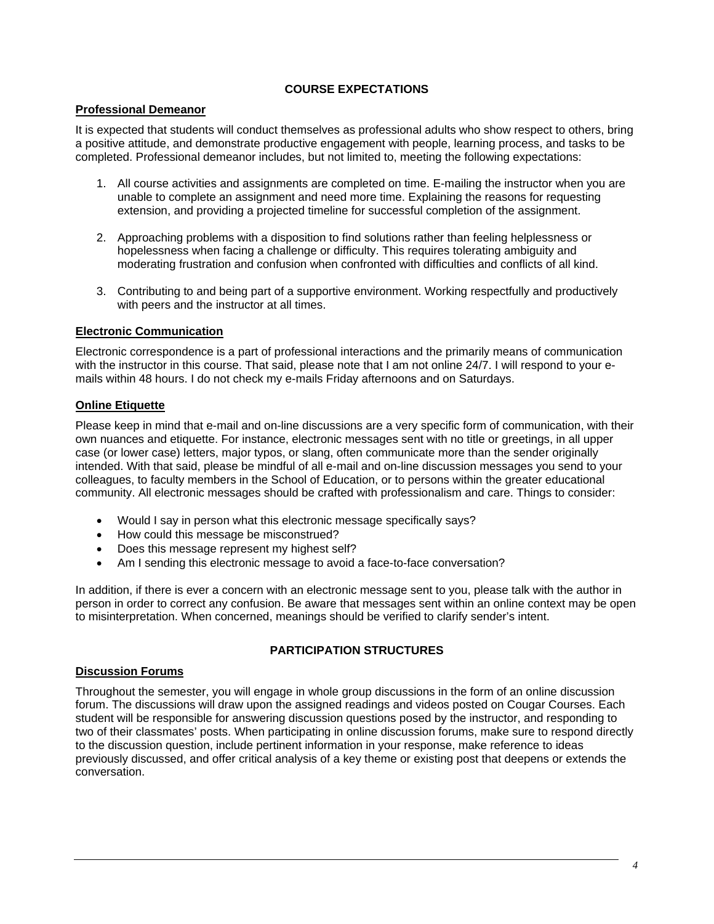# **COURSE EXPECTATIONS**

## **Professional Demeanor**

It is expected that students will conduct themselves as professional adults who show respect to others, bring a positive attitude, and demonstrate productive engagement with people, learning process, and tasks to be completed. Professional demeanor includes, but not limited to, meeting the following expectations:

- 1. All course activities and assignments are completed on time. E-mailing the instructor when you are unable to complete an assignment and need more time. Explaining the reasons for requesting extension, and providing a projected timeline for successful completion of the assignment.
- 2. Approaching problems with a disposition to find solutions rather than feeling helplessness or hopelessness when facing a challenge or difficulty. This requires tolerating ambiguity and moderating frustration and confusion when confronted with difficulties and conflicts of all kind.
- 3. Contributing to and being part of a supportive environment. Working respectfully and productively with peers and the instructor at all times.

## **Electronic Communication**

Electronic correspondence is a part of professional interactions and the primarily means of communication with the instructor in this course. That said, please note that I am not online 24/7. I will respond to your emails within 48 hours. I do not check my e-mails Friday afternoons and on Saturdays.

## **Online Etiquette**

Please keep in mind that e-mail and on-line discussions are a very specific form of communication, with their own nuances and etiquette. For instance, electronic messages sent with no title or greetings, in all upper case (or lower case) letters, major typos, or slang, often communicate more than the sender originally intended. With that said, please be mindful of all e-mail and on-line discussion messages you send to your colleagues, to faculty members in the School of Education, or to persons within the greater educational community. All electronic messages should be crafted with professionalism and care. Things to consider:

- Would I say in person what this electronic message specifically says?
- How could this message be misconstrued?
- Does this message represent my highest self?
- Am I sending this electronic message to avoid a face-to-face conversation?

In addition, if there is ever a concern with an electronic message sent to you, please talk with the author in person in order to correct any confusion. Be aware that messages sent within an online context may be open to misinterpretation. When concerned, meanings should be verified to clarify sender's intent.

# **PARTICIPATION STRUCTURES**

## **Discussion Forums**

Throughout the semester, you will engage in whole group discussions in the form of an online discussion forum. The discussions will draw upon the assigned readings and videos posted on Cougar Courses. Each student will be responsible for answering discussion questions posed by the instructor, and responding to two of their classmates' posts. When participating in online discussion forums, make sure to respond directly to the discussion question, include pertinent information in your response, make reference to ideas previously discussed, and offer critical analysis of a key theme or existing post that deepens or extends the conversation.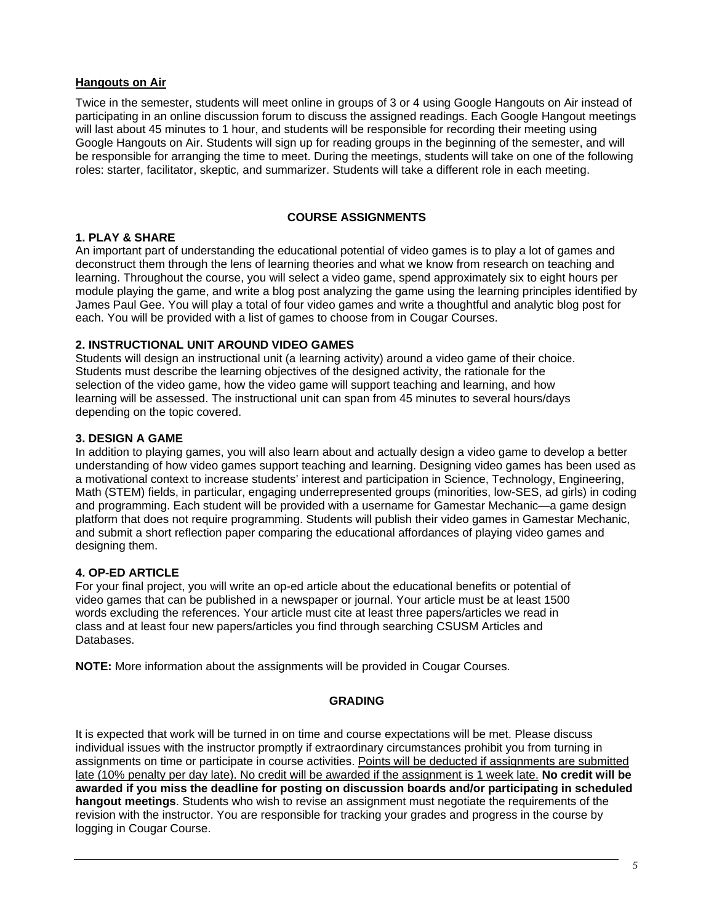#### **Hangouts on Air**

Twice in the semester, students will meet online in groups of 3 or 4 using Google Hangouts on Air instead of participating in an online discussion forum to discuss the assigned readings. Each Google Hangout meetings will last about 45 minutes to 1 hour, and students will be responsible for recording their meeting using Google Hangouts on Air. Students will sign up for reading groups in the beginning of the semester, and will be responsible for arranging the time to meet. During the meetings, students will take on one of the following roles: starter, facilitator, skeptic, and summarizer. Students will take a different role in each meeting.

## **COURSE ASSIGNMENTS**

## **1. PLAY & SHARE**

An important part of understanding the educational potential of video games is to play a lot of games and deconstruct them through the lens of learning theories and what we know from research on teaching and learning. Throughout the course, you will select a video game, spend approximately six to eight hours per module playing the game, and write a blog post analyzing the game using the learning principles identified by James Paul Gee. You will play a total of four video games and write a thoughtful and analytic blog post for each. You will be provided with a list of games to choose from in Cougar Courses.

#### **2. INSTRUCTIONAL UNIT AROUND VIDEO GAMES**

Students will design an instructional unit (a learning activity) around a video game of their choice. Students must describe the learning objectives of the designed activity, the rationale for the selection of the video game, how the video game will support teaching and learning, and how learning will be assessed. The instructional unit can span from 45 minutes to several hours/days depending on the topic covered.

## **3. DESIGN A GAME**

In addition to playing games, you will also learn about and actually design a video game to develop a better understanding of how video games support teaching and learning. Designing video games has been used as a motivational context to increase students' interest and participation in Science, Technology, Engineering, Math (STEM) fields, in particular, engaging underrepresented groups (minorities, low-SES, ad girls) in coding and programming. Each student will be provided with a username for Gamestar Mechanic—a game design platform that does not require programming. Students will publish their video games in Gamestar Mechanic, and submit a short reflection paper comparing the educational affordances of playing video games and designing them.

## **4. OP-ED ARTICLE**

For your final project, you will write an op-ed article about the educational benefits or potential of video games that can be published in a newspaper or journal. Your article must be at least 1500 words excluding the references. Your article must cite at least three papers/articles we read in class and at least four new papers/articles you find through searching CSUSM Articles and Databases.

**NOTE:** More information about the assignments will be provided in Cougar Courses.

## **GRADING**

It is expected that work will be turned in on time and course expectations will be met. Please discuss individual issues with the instructor promptly if extraordinary circumstances prohibit you from turning in assignments on time or participate in course activities. Points will be deducted if assignments are submitted late (10% penalty per day late). No credit will be awarded if the assignment is 1 week late. **No credit will be awarded if you miss the deadline for posting on discussion boards and/or participating in scheduled hangout meetings**. Students who wish to revise an assignment must negotiate the requirements of the revision with the instructor. You are responsible for tracking your grades and progress in the course by logging in Cougar Course.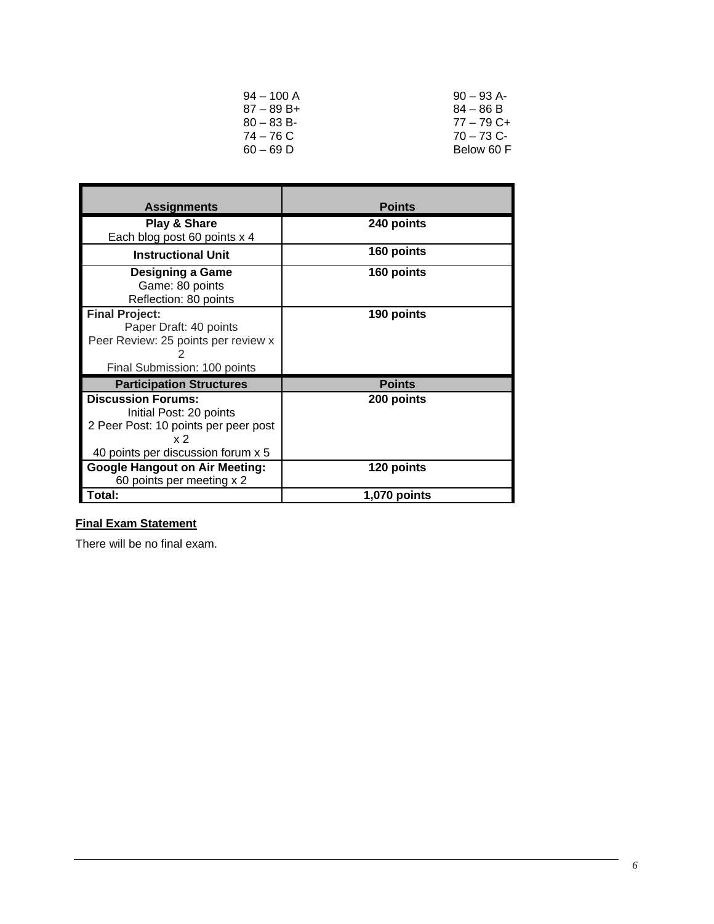| $94 - 100$ A  | $90 - 93$ A- |
|---------------|--------------|
| $87 - 89 B +$ | $84 - 86 B$  |
| $80 - 83 B$   | $77 - 79$ C+ |
| $74 - 76$ C   | $70 - 73$ C- |
| $60 - 69$ D   | Below 60 F   |

| <b>Assignments</b>                    | <b>Points</b> |
|---------------------------------------|---------------|
| <b>Play &amp; Share</b>               | 240 points    |
| Each blog post 60 points x 4          |               |
| <b>Instructional Unit</b>             | 160 points    |
| <b>Designing a Game</b>               | 160 points    |
| Game: 80 points                       |               |
| Reflection: 80 points                 |               |
| <b>Final Project:</b>                 | 190 points    |
| Paper Draft: 40 points                |               |
| Peer Review: 25 points per review x   |               |
|                                       |               |
| Final Submission: 100 points          |               |
| <b>Participation Structures</b>       | <b>Points</b> |
| <b>Discussion Forums:</b>             | 200 points    |
| Initial Post: 20 points               |               |
| 2 Peer Post: 10 points per peer post  |               |
| x <sub>2</sub>                        |               |
| 40 points per discussion forum x 5    |               |
| <b>Google Hangout on Air Meeting:</b> | 120 points    |
| 60 points per meeting x 2             |               |
| Total:                                | 1,070 points  |

# **Final Exam Statement**

There will be no final exam.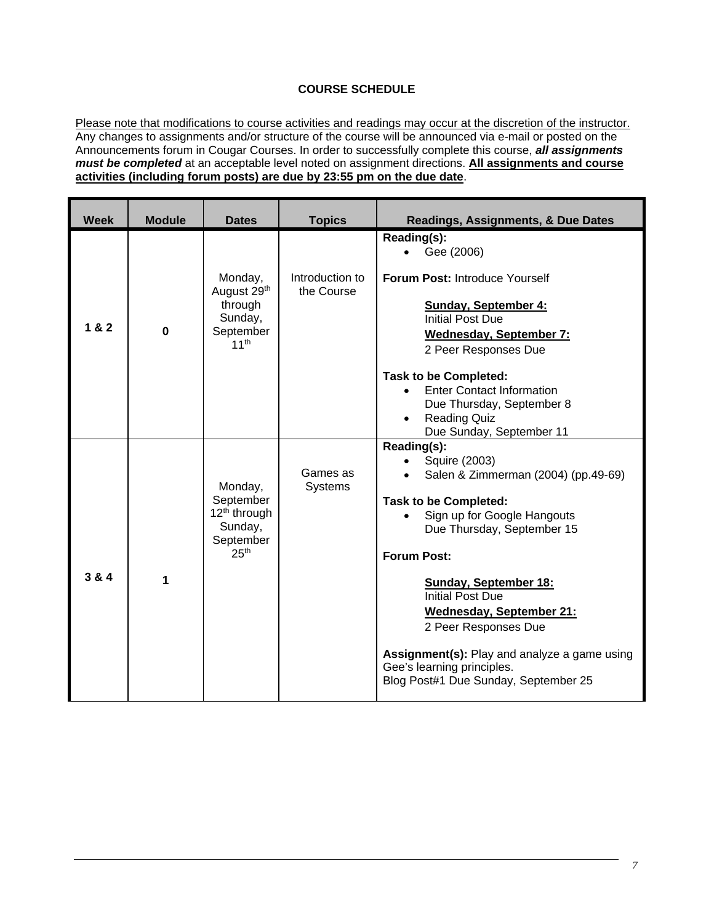# **COURSE SCHEDULE**

Please note that modifications to course activities and readings may occur at the discretion of the instructor. Any changes to assignments and/or structure of the course will be announced via e-mail or posted on the Announcements forum in Cougar Courses. In order to successfully complete this course, *all assignments must be completed* at an acceptable level noted on assignment directions. **All assignments and course activities (including forum posts) are due by 23:55 pm on the due date**.

| <b>Week</b> | <b>Module</b> | <b>Dates</b>                                                                              | <b>Topics</b>                 | Readings, Assignments, & Due Dates                                                                                                                                                                                                                                                                                                                           |
|-------------|---------------|-------------------------------------------------------------------------------------------|-------------------------------|--------------------------------------------------------------------------------------------------------------------------------------------------------------------------------------------------------------------------------------------------------------------------------------------------------------------------------------------------------------|
| 1 & 2       | $\bf{0}$      | Monday,<br>August 29 <sup>th</sup><br>through<br>Sunday,<br>September<br>11 <sup>th</sup> | Introduction to<br>the Course | Reading(s):<br>Gee (2006)<br>$\bullet$<br><b>Forum Post: Introduce Yourself</b><br><b>Sunday, September 4:</b><br><b>Initial Post Due</b><br><b>Wednesday, September 7:</b><br>2 Peer Responses Due<br><b>Task to be Completed:</b><br><b>Enter Contact Information</b><br>Due Thursday, September 8                                                         |
|             |               |                                                                                           |                               | <b>Reading Quiz</b><br>Due Sunday, September 11                                                                                                                                                                                                                                                                                                              |
| 3 & 4       | 1             | Monday,<br>September<br>$12th$ through<br>Sunday,<br>September<br>25 <sup>th</sup>        | Games as<br><b>Systems</b>    | Reading(s):<br>Squire (2003)<br>Salen & Zimmerman (2004) (pp.49-69)<br><b>Task to be Completed:</b><br>Sign up for Google Hangouts<br>Due Thursday, September 15<br><b>Forum Post:</b><br><b>Sunday, September 18:</b><br><b>Initial Post Due</b><br><b>Wednesday, September 21:</b><br>2 Peer Responses Due<br>Assignment(s): Play and analyze a game using |
|             |               |                                                                                           |                               | Gee's learning principles.<br>Blog Post#1 Due Sunday, September 25                                                                                                                                                                                                                                                                                           |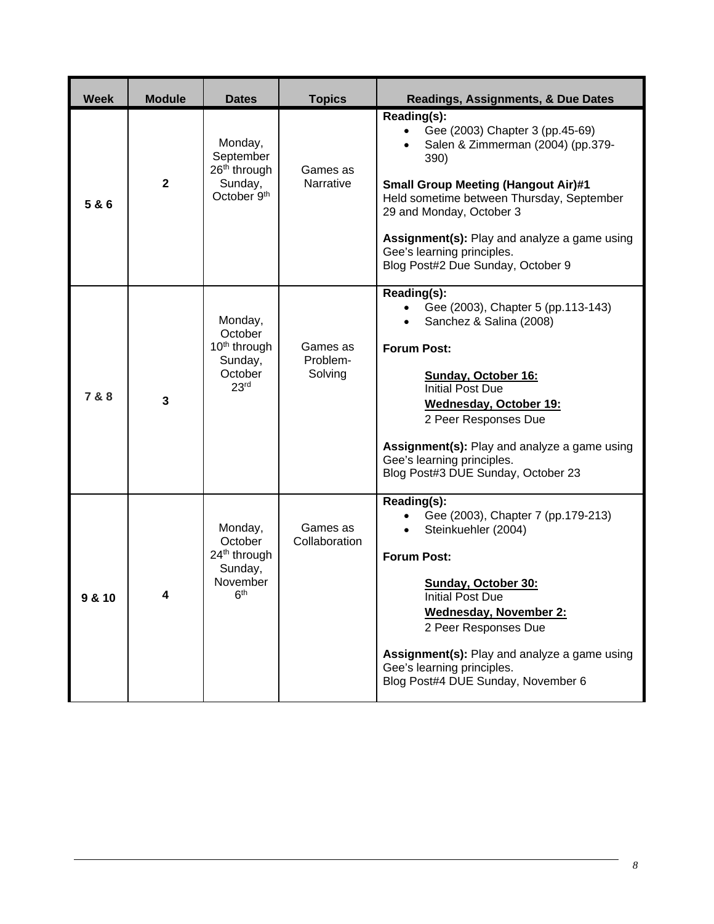| <b>Week</b> | <b>Module</b> | <b>Dates</b>                                                                             | <b>Topics</b>                   | <b>Readings, Assignments, &amp; Due Dates</b>                                                                                                                                                                                                                                                                                                             |
|-------------|---------------|------------------------------------------------------------------------------------------|---------------------------------|-----------------------------------------------------------------------------------------------------------------------------------------------------------------------------------------------------------------------------------------------------------------------------------------------------------------------------------------------------------|
| 5 & 6       | $\mathbf{2}$  | Monday,<br>September<br>26 <sup>th</sup> through<br>Sunday,<br>October 9 <sup>th</sup>   | Games as<br>Narrative           | Reading(s):<br>Gee (2003) Chapter 3 (pp.45-69)<br>$\bullet$<br>Salen & Zimmerman (2004) (pp.379-<br>390)<br><b>Small Group Meeting (Hangout Air)#1</b><br>Held sometime between Thursday, September<br>29 and Monday, October 3<br><b>Assignment(s):</b> Play and analyze a game using<br>Gee's learning principles.<br>Blog Post#2 Due Sunday, October 9 |
| 7 & 8       | 3             | Monday,<br>October<br>10 <sup>th</sup> through<br>Sunday,<br>October<br>23 <sup>rd</sup> | Games as<br>Problem-<br>Solving | Reading(s):<br>Gee (2003), Chapter 5 (pp.113-143)<br>Sanchez & Salina (2008)<br><b>Forum Post:</b><br><b>Sunday, October 16:</b><br><b>Initial Post Due</b><br>Wednesday, October 19:<br>2 Peer Responses Due<br><b>Assignment(s):</b> Play and analyze a game using<br>Gee's learning principles.<br>Blog Post#3 DUE Sunday, October 23                  |
| 9 & 10      | 4             | Monday,<br>October<br>$24th$ through<br>Sunday,<br>November<br>6 <sup>th</sup>           | Games as<br>Collaboration       | Reading(s):<br>Gee (2003), Chapter 7 (pp.179-213)<br>Steinkuehler (2004)<br><b>Forum Post:</b><br>Sunday, October 30:<br>Initial Post Due<br><b>Wednesday, November 2:</b><br>2 Peer Responses Due<br>Assignment(s): Play and analyze a game using<br>Gee's learning principles.<br>Blog Post#4 DUE Sunday, November 6                                    |